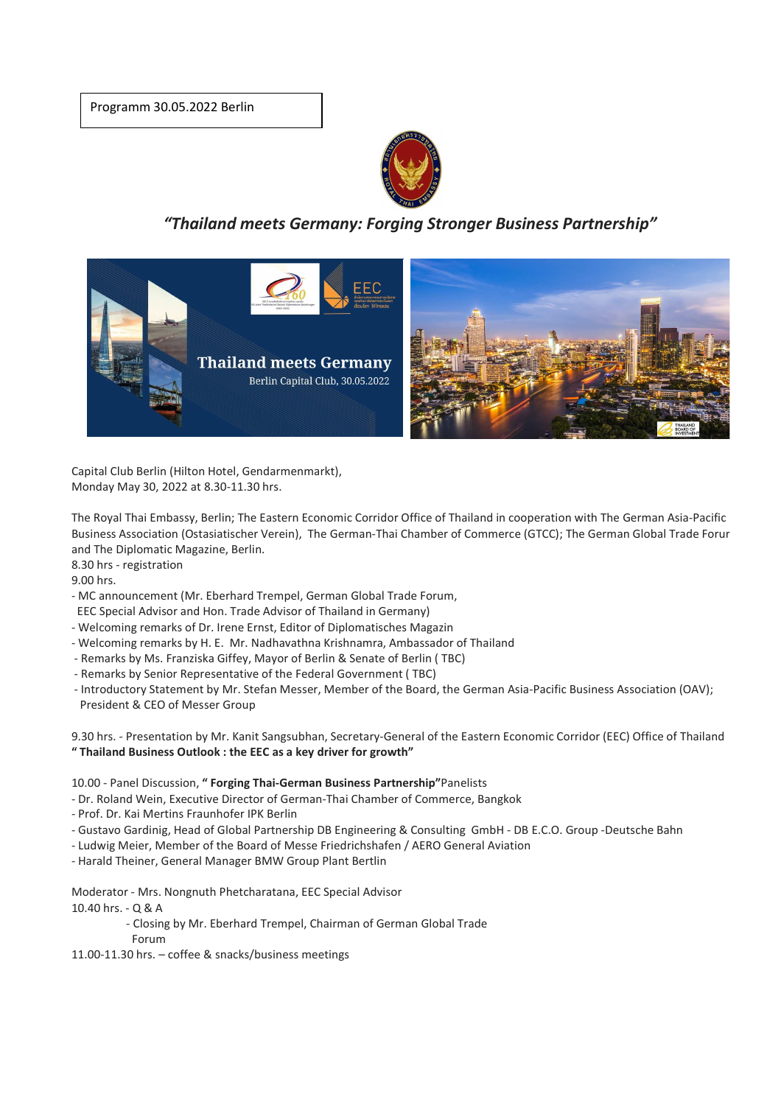Programm 30.05.2022 Berlin



*"Thailand meets Germany: Forging Stronger Business Partnership"* 



Capital Club Berlin (Hilton Hotel, Gendarmenmarkt), Monday May 30, 2022 at 8.30-11.30 hrs.

The Royal Thai Embassy, Berlin; The Eastern Economic Corridor Office of Thailand in cooperation with The German Asia-Pacific Business Association (Ostasiatischer Verein), The German-Thai Chamber of Commerce (GTCC); The German Global Trade Forum and The Diplomatic Magazine, Berlin.

8.30 hrs - registration

9.00 hrs.

- MC announcement (Mr. Eberhard Trempel, German Global Trade Forum, EEC Special Advisor and Hon. Trade Advisor of Thailand in Germany)

- Welcoming remarks of Dr. Irene Ernst, Editor of Diplomatisches Magazin
- Welcoming remarks by H. E. Mr. Nadhavathna Krishnamra, Ambassador of Thailand
- Remarks by Ms. Franziska Giffey, Mayor of Berlin & Senate of Berlin ( TBC)
- Remarks by Senior Representative of the Federal Government ( TBC)
- Introductory Statement by Mr. Stefan Messer, Member of the Board, the German Asia-Pacific Business Association (OAV); President & CEO of Messer Group

9.30 hrs. - Presentation by Mr. Kanit Sangsubhan, Secretary-General of the Eastern Economic Corridor (EEC) Office of Thailand **" Thailand Business Outlook : the EEC as a key driver for growth"** 

10.00 - Panel Discussion, **" Forging Thai-German Business Partnership"**Panelists

- Dr. Roland Wein, Executive Director of German-Thai Chamber of Commerce, Bangkok
- Prof. Dr. Kai Mertins Fraunhofer IPK Berlin
- Gustavo Gardinig, Head of Global Partnership DB Engineering & Consulting GmbH DB E.C.O. Group -Deutsche Bahn
- Ludwig Meier, Member of the Board of Messe Friedrichshafen / AERO General Aviation
- Harald Theiner, General Manager BMW Group Plant Bertlin

Moderator - Mrs. Nongnuth Phetcharatana, EEC Special Advisor 10.40 hrs. - Q & A

- Closing by Mr. Eberhard Trempel, Chairman of German Global Trade

Forum

11.00-11.30 hrs. – coffee & snacks/business meetings